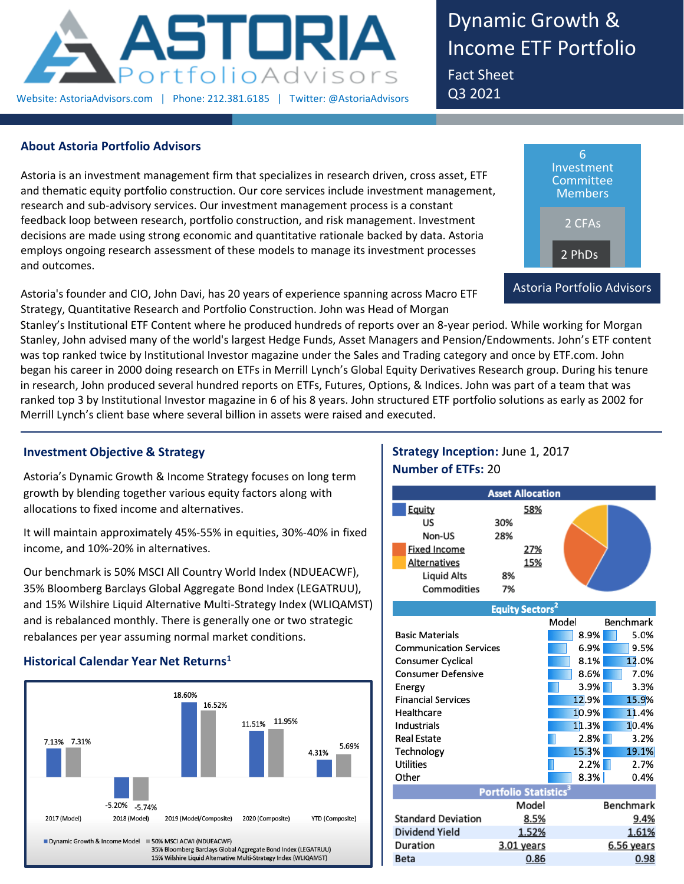

Dynamic Growth & Income ETF Portfolio Fact Sheet Q3 2021

## **About Astoria Portfolio Advisors**

Astoria is an investment management firm that specializes in research driven, cross asset, ETF and thematic equity portfolio construction. Our core services include investment management, research and sub-advisory services. Our investment management process is a constant feedback loop between research, portfolio construction, and risk management. Investment decisions are made using strong economic and quantitative rationale backed by data. Astoria employs ongoing research assessment of these models to manage its investment processes and outcomes.

Astoria's founder and CIO, John Davi, has 20 years of experience spanning across Macro ETF Strategy, Quantitative Research and Portfolio Construction. John was Head of Morgan



Stanley's Institutional ETF Content where he produced hundreds of reports over an 8-year period. While working for Morgan Stanley, John advised many of the world's largest Hedge Funds, Asset Managers and Pension/Endowments. John's ETF content was top ranked twice by Institutional Investor magazine under the Sales and Trading category and once by ETF.com. John began his career in 2000 doing research on ETFs in Merrill Lynch's Global Equity Derivatives Research group. During his tenure in research, John produced several hundred reports on ETFs, Futures, Options, & Indices. John was part of a team that was ranked top 3 by Institutional Investor magazine in 6 of his 8 years. John structured ETF portfolio solutions as early as 2002 for Merrill Lynch's client base where several billion in assets were raised and executed.

## **Investment Objective & Strategy**

Astoria's Dynamic Growth & Income Strategy focuses on long term growth by blending together various equity factors along with allocations to fixed income and alternatives.

It will maintain approximately 45%-55% in equities, 30%-40% in fixed income, and 10%-20% in alternatives.

Our benchmark is 50% MSCI All Country World Index (NDUEACWF), 35% Bloomberg Barclays Global Aggregate Bond Index (LEGATRUU), and 15% Wilshire Liquid Alternative Multi-Strategy Index (WLIQAMST) and is rebalanced monthly. There is generally one or two strategic rebalances per year assuming normal market conditions.

## **Historical Calendar Year Net Returns<sup>1</sup>**



# **Strategy Inception:** June 1, 2017 **Number of ETFs:** 20

|                               | <b>Asset Allocation</b>           |     |       |                  |
|-------------------------------|-----------------------------------|-----|-------|------------------|
| Equity                        |                                   | 58% |       |                  |
| US                            | 30%                               |     |       |                  |
| Non-US                        | 28%                               |     |       |                  |
| <b>Fixed Income</b>           |                                   | 27% |       |                  |
| <b>Alternatives</b>           |                                   | 15% |       |                  |
| <b>Liquid Alts</b>            | 8%                                |     |       |                  |
| Commodities                   | 7%                                |     |       |                  |
|                               | <b>Equity Sectors<sup>2</sup></b> |     |       |                  |
|                               |                                   |     | Model | <b>Benchmark</b> |
| <b>Basic Materials</b>        |                                   |     | 8.9%  | 5.0%             |
| <b>Communication Services</b> |                                   |     | 6.9%  | 9.5%             |
| <b>Consumer Cyclical</b>      |                                   |     | 8.1%  | 12.0%            |
| <b>Consumer Defensive</b>     |                                   |     | 8.6%  | 7.0%             |
| Energy                        |                                   |     | 3.9%  | 3.3%             |
| <b>Financial Services</b>     |                                   |     | 12.9% | 15.9%            |

| <b>Financial Services</b> |                                   | 12.9% | 15.9%            |
|---------------------------|-----------------------------------|-------|------------------|
| Healthcare                |                                   | 10.9% | 11.4%            |
| Industrials               |                                   | 11.3% | 10.4%            |
| <b>Real Estate</b>        |                                   | 2.8%  | 3.2%             |
| Technology                |                                   | 15.3% | 19.1%            |
| <b>Utilities</b>          |                                   | 2.2%  | 2.7%             |
| Other                     |                                   | 8.3%  | 0.4%             |
|                           | Portfolio Statistics <sup>3</sup> |       |                  |
|                           | Model                             |       | <b>Benchmark</b> |
| <b>Standard Deviation</b> | 8.5%                              |       | 9.4%             |
| Dividend Yield            | 1.52%                             |       | 1.61%            |
| Duration                  | 3.01 years                        |       | $6.56$ years     |
| <b>Beta</b>               | 0.86                              |       | 0.98             |